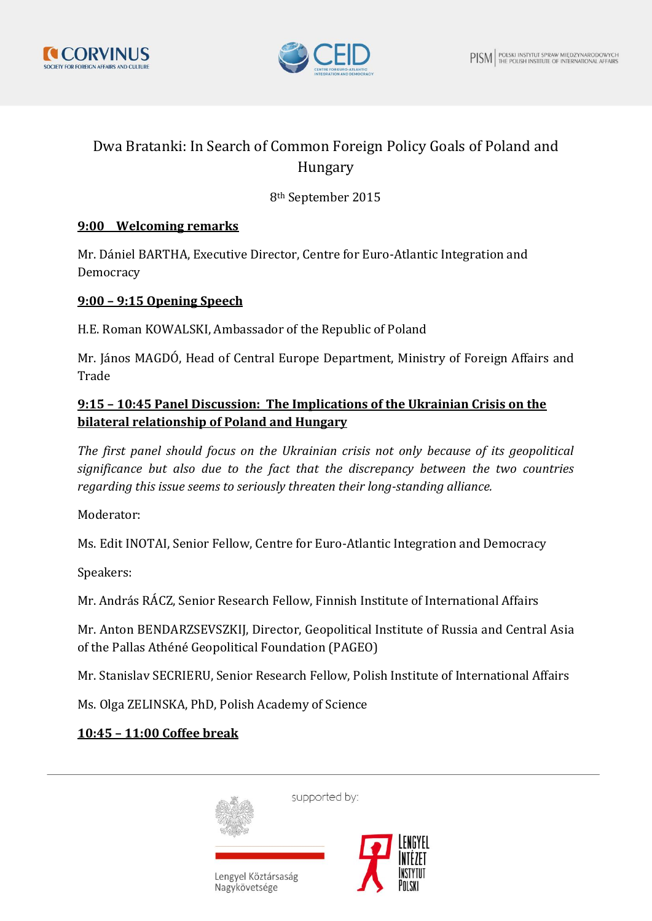



# Dwa Bratanki: In Search of Common Foreign Policy Goals of Poland and Hungary

# 8th September 2015

#### **9:00 Welcoming remarks**

Mr. Dániel BARTHA, Executive Director, Centre for Euro-Atlantic Integration and Democracy

#### **9:00 – 9:15 Opening Speech**

H.E. Roman KOWALSKI, Ambassador of the Republic of Poland

Mr. János MAGDÓ, Head of Central Europe Department, Ministry of Foreign Affairs and Trade

## **9:15 – 10:45 Panel Discussion: The Implications of the Ukrainian Crisis on the bilateral relationship of Poland and Hungary**

*The first panel should focus on the Ukrainian crisis not only because of its geopolitical significance but also due to the fact that the discrepancy between the two countries regarding this issue seems to seriously threaten their long-standing alliance.* 

Moderator:

Ms. Edit INOTAI, Senior Fellow, Centre for Euro-Atlantic Integration and Democracy

Speakers:

Mr. András RÁCZ, Senior Research Fellow, Finnish Institute of International Affairs

Mr. Anton BENDARZSEVSZKIJ, Director, Geopolitical Institute of Russia and Central Asia of the Pallas Athéné Geopolitical Foundation (PAGEO)

Mr. Stanislav SECRIERU, Senior Research Fellow, Polish Institute of International Affairs

Ms. Olga ZELINSKA, PhD, Polish Academy of Science

# **10:45 – 11:00 Coffee break**



supported by:



Lengyel Köztársaság Nagykövetsége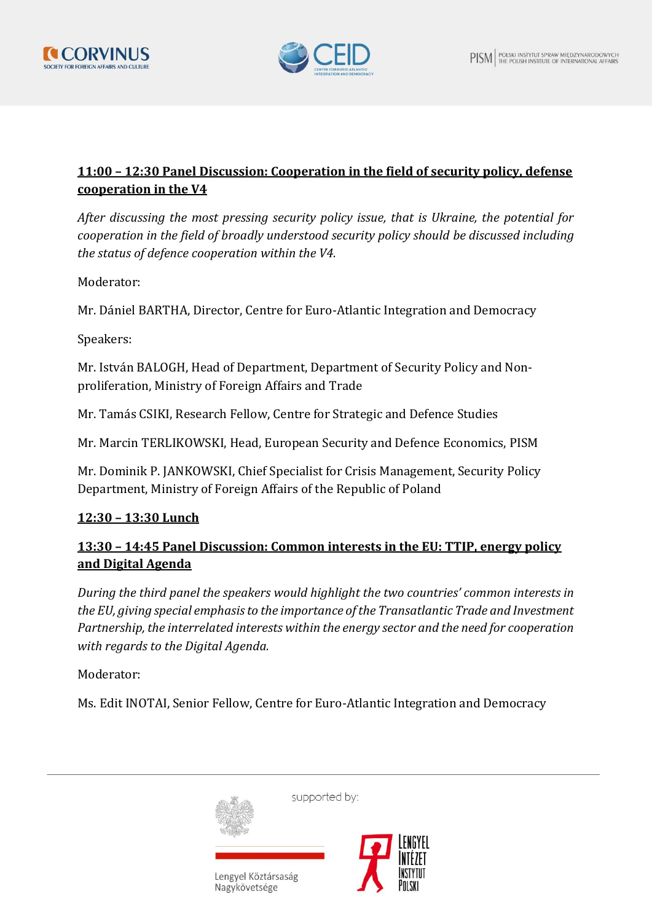



## **11:00 – 12:30 Panel Discussion: Cooperation in the field of security policy, defense cooperation in the V4**

*After discussing the most pressing security policy issue, that is Ukraine, the potential for cooperation in the field of broadly understood security policy should be discussed including the status of defence cooperation within the V4.*

Moderator:

Mr. Dániel BARTHA, Director, Centre for Euro-Atlantic Integration and Democracy

Speakers:

Mr. István BALOGH, Head of Department, Department of Security Policy and Nonproliferation, Ministry of Foreign Affairs and Trade

Mr. Tamás CSIKI, Research Fellow, Centre for Strategic and Defence Studies

Mr. Marcin TERLIKOWSKI, Head, European Security and Defence Economics, PISM

Mr. Dominik P. JANKOWSKI, Chief Specialist for Crisis Management, Security Policy Department, Ministry of Foreign Affairs of the Republic of Poland

## **12:30 – 13:30 Lunch**

## **13:30 – 14:45 Panel Discussion: Common interests in the EU: TTIP, energy policy and Digital Agenda**

*During the third panel the speakers would highlight the two countries' common interests in the EU, giving special emphasis to the importance of the Transatlantic Trade and Investment Partnership, the interrelated interests within the energy sector and the need for cooperation with regards to the Digital Agenda.* 

Moderator:

Ms. Edit INOTAI, Senior Fellow, Centre for Euro-Atlantic Integration and Democracy



supported by: